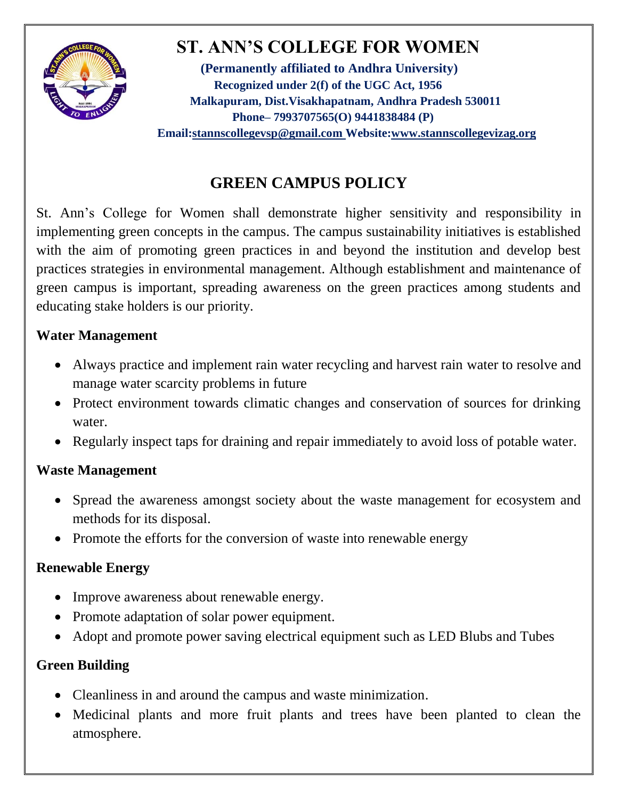

# **ST. ANN'S COLLEGE FOR WOMEN**

**(Permanently affiliated to Andhra University) Recognized under 2(f) of the UGC Act, 1956 Malkapuram, Dist.Visakhapatnam, Andhra Pradesh 530011 Phone– 7993707565(O) 9441838484 (P) Email[:stannscollegevsp@gmail.com W](mailto:stannscollegevsp@gmail.com)ebsite[:www.stannscollegevizag.org](http://www.stannscollegevizag.org/)**

## **GREEN CAMPUS POLICY**

St. Ann's College for Women shall demonstrate higher sensitivity and responsibility in implementing green concepts in the campus. The campus sustainability initiatives is established with the aim of promoting green practices in and beyond the institution and develop best practices strategies in environmental management. Although establishment and maintenance of green campus is important, spreading awareness on the green practices among students and educating stake holders is our priority.

#### **Water Management**

- Always practice and implement rain water recycling and harvest rain water to resolve and manage water scarcity problems in future
- Protect environment towards climatic changes and conservation of sources for drinking water.
- Regularly inspect taps for draining and repair immediately to avoid loss of potable water.

#### **Waste Management**

- Spread the awareness amongst society about the waste management for ecosystem and methods for its disposal.
- Promote the efforts for the conversion of waste into renewable energy

#### **Renewable Energy**

- Improve awareness about renewable energy.
- Promote adaptation of solar power equipment.
- Adopt and promote power saving electrical equipment such as LED Blubs and Tubes

### **Green Building**

- Cleanliness in and around the campus and waste minimization.
- Medicinal plants and more fruit plants and trees have been planted to clean the atmosphere.